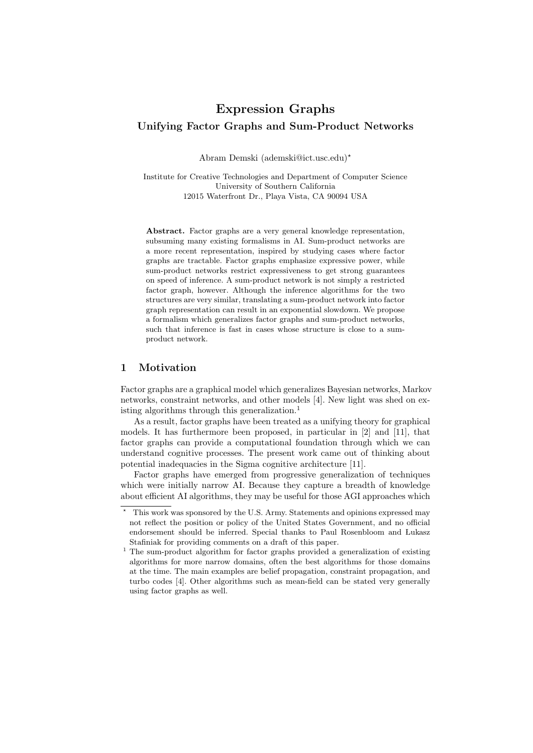# Expression Graphs Unifying Factor Graphs and Sum-Product Networks

Abram Demski (ademski@ict.usc.edu)?

Institute for Creative Technologies and Department of Computer Science University of Southern California 12015 Waterfront Dr., Playa Vista, CA 90094 USA

Abstract. Factor graphs are a very general knowledge representation, subsuming many existing formalisms in AI. Sum-product networks are a more recent representation, inspired by studying cases where factor graphs are tractable. Factor graphs emphasize expressive power, while sum-product networks restrict expressiveness to get strong guarantees on speed of inference. A sum-product network is not simply a restricted factor graph, however. Although the inference algorithms for the two structures are very similar, translating a sum-product network into factor graph representation can result in an exponential slowdown. We propose a formalism which generalizes factor graphs and sum-product networks, such that inference is fast in cases whose structure is close to a sumproduct network.

## 1 Motivation

Factor graphs are a graphical model which generalizes Bayesian networks, Markov networks, constraint networks, and other models [4]. New light was shed on existing algorithms through this generalization.<sup>1</sup>

As a result, factor graphs have been treated as a unifying theory for graphical models. It has furthermore been proposed, in particular in [2] and [11], that factor graphs can provide a computational foundation through which we can understand cognitive processes. The present work came out of thinking about potential inadequacies in the Sigma cognitive architecture [11].

Factor graphs have emerged from progressive generalization of techniques which were initially narrow AI. Because they capture a breadth of knowledge about efficient AI algorithms, they may be useful for those AGI approaches which

<sup>?</sup> This work was sponsored by the U.S. Army. Statements and opinions expressed may not reflect the position or policy of the United States Government, and no official endorsement should be inferred. Special thanks to Paul Rosenbloom and Lukasz Stafiniak for providing comments on a draft of this paper.

<sup>&</sup>lt;sup>1</sup> The sum-product algorithm for factor graphs provided a generalization of existing algorithms for more narrow domains, often the best algorithms for those domains at the time. The main examples are belief propagation, constraint propagation, and turbo codes [4]. Other algorithms such as mean-field can be stated very generally using factor graphs as well.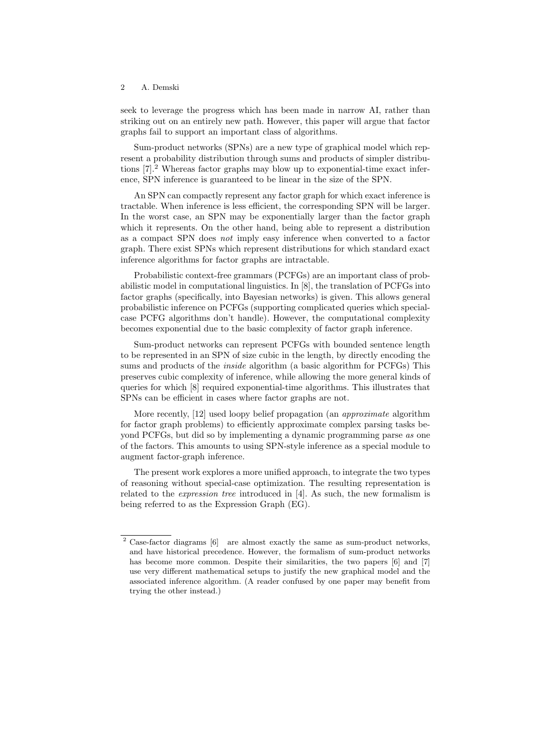seek to leverage the progress which has been made in narrow AI, rather than striking out on an entirely new path. However, this paper will argue that factor graphs fail to support an important class of algorithms.

Sum-product networks (SPNs) are a new type of graphical model which represent a probability distribution through sums and products of simpler distributions [7].<sup>2</sup> Whereas factor graphs may blow up to exponential-time exact inference, SPN inference is guaranteed to be linear in the size of the SPN.

An SPN can compactly represent any factor graph for which exact inference is tractable. When inference is less efficient, the corresponding SPN will be larger. In the worst case, an SPN may be exponentially larger than the factor graph which it represents. On the other hand, being able to represent a distribution as a compact SPN does not imply easy inference when converted to a factor graph. There exist SPNs which represent distributions for which standard exact inference algorithms for factor graphs are intractable.

Probabilistic context-free grammars (PCFGs) are an important class of probabilistic model in computational linguistics. In [8], the translation of PCFGs into factor graphs (specifically, into Bayesian networks) is given. This allows general probabilistic inference on PCFGs (supporting complicated queries which specialcase PCFG algorithms don't handle). However, the computational complexity becomes exponential due to the basic complexity of factor graph inference.

Sum-product networks can represent PCFGs with bounded sentence length to be represented in an SPN of size cubic in the length, by directly encoding the sums and products of the *inside* algorithm (a basic algorithm for PCFGs) This preserves cubic complexity of inference, while allowing the more general kinds of queries for which [8] required exponential-time algorithms. This illustrates that SPNs can be efficient in cases where factor graphs are not.

More recently, [12] used loopy belief propagation (an approximate algorithm for factor graph problems) to efficiently approximate complex parsing tasks beyond PCFGs, but did so by implementing a dynamic programming parse as one of the factors. This amounts to using SPN-style inference as a special module to augment factor-graph inference.

The present work explores a more unified approach, to integrate the two types of reasoning without special-case optimization. The resulting representation is related to the expression tree introduced in [4]. As such, the new formalism is being referred to as the Expression Graph (EG).

<sup>&</sup>lt;sup>2</sup> Case-factor diagrams [6] are almost exactly the same as sum-product networks, and have historical precedence. However, the formalism of sum-product networks has become more common. Despite their similarities, the two papers  $[6]$  and  $[7]$ use very different mathematical setups to justify the new graphical model and the associated inference algorithm. (A reader confused by one paper may benefit from trying the other instead.)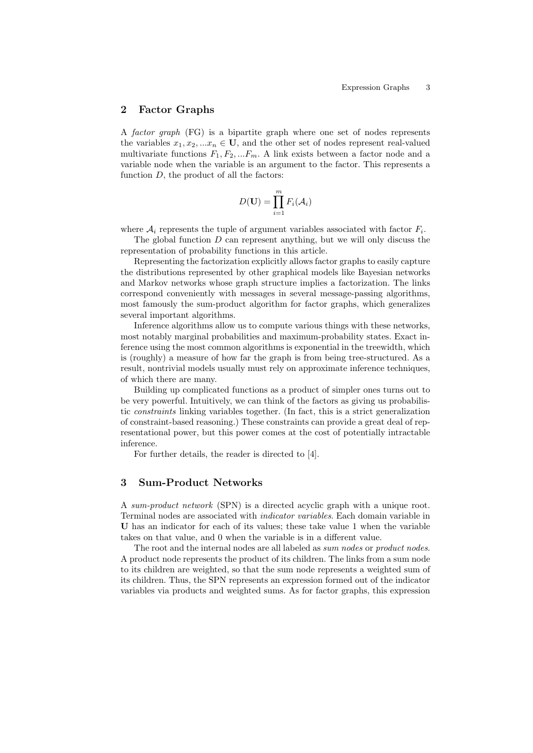#### 2 Factor Graphs

A factor graph (FG) is a bipartite graph where one set of nodes represents the variables  $x_1, x_2, ... x_n \in U$ , and the other set of nodes represent real-valued multivariate functions  $F_1, F_2, ... F_m$ . A link exists between a factor node and a variable node when the variable is an argument to the factor. This represents a function  $D$ , the product of all the factors:

$$
D(\mathbf{U}) = \prod_{i=1}^{m} F_i(\mathcal{A}_i)
$$

where  $A_i$  represents the tuple of argument variables associated with factor  $F_i$ .

The global function  $D$  can represent anything, but we will only discuss the representation of probability functions in this article.

Representing the factorization explicitly allows factor graphs to easily capture the distributions represented by other graphical models like Bayesian networks and Markov networks whose graph structure implies a factorization. The links correspond conveniently with messages in several message-passing algorithms, most famously the sum-product algorithm for factor graphs, which generalizes several important algorithms.

Inference algorithms allow us to compute various things with these networks, most notably marginal probabilities and maximum-probability states. Exact inference using the most common algorithms is exponential in the treewidth, which is (roughly) a measure of how far the graph is from being tree-structured. As a result, nontrivial models usually must rely on approximate inference techniques, of which there are many.

Building up complicated functions as a product of simpler ones turns out to be very powerful. Intuitively, we can think of the factors as giving us probabilistic constraints linking variables together. (In fact, this is a strict generalization of constraint-based reasoning.) These constraints can provide a great deal of representational power, but this power comes at the cost of potentially intractable inference.

For further details, the reader is directed to [4].

## 3 Sum-Product Networks

A sum-product network (SPN) is a directed acyclic graph with a unique root. Terminal nodes are associated with indicator variables. Each domain variable in U has an indicator for each of its values; these take value 1 when the variable takes on that value, and 0 when the variable is in a different value.

The root and the internal nodes are all labeled as sum nodes or product nodes. A product node represents the product of its children. The links from a sum node to its children are weighted, so that the sum node represents a weighted sum of its children. Thus, the SPN represents an expression formed out of the indicator variables via products and weighted sums. As for factor graphs, this expression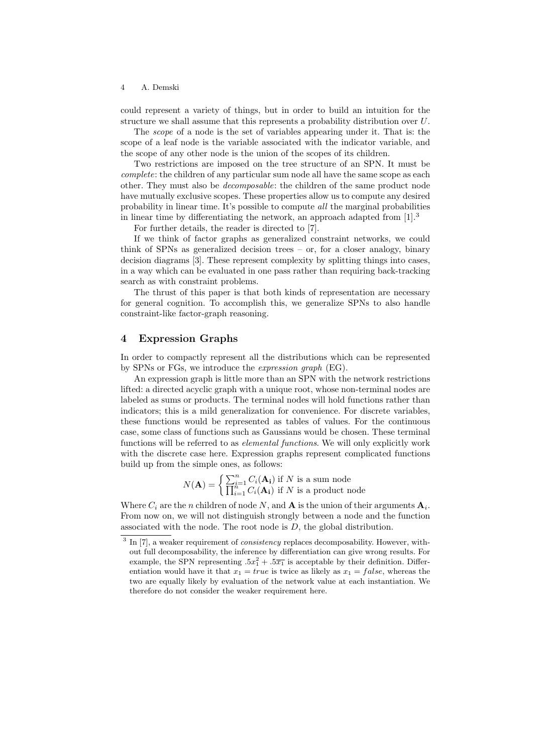could represent a variety of things, but in order to build an intuition for the structure we shall assume that this represents a probability distribution over U.

The scope of a node is the set of variables appearing under it. That is: the scope of a leaf node is the variable associated with the indicator variable, and the scope of any other node is the union of the scopes of its children.

Two restrictions are imposed on the tree structure of an SPN. It must be complete: the children of any particular sum node all have the same scope as each other. They must also be decomposable: the children of the same product node have mutually exclusive scopes. These properties allow us to compute any desired probability in linear time. It's possible to compute all the marginal probabilities in linear time by differentiating the network, an approach adapted from  $[1]$ .<sup>3</sup>

For further details, the reader is directed to [7].

If we think of factor graphs as generalized constraint networks, we could think of SPNs as generalized decision trees – or, for a closer analogy, binary decision diagrams [3]. These represent complexity by splitting things into cases, in a way which can be evaluated in one pass rather than requiring back-tracking search as with constraint problems.

The thrust of this paper is that both kinds of representation are necessary for general cognition. To accomplish this, we generalize SPNs to also handle constraint-like factor-graph reasoning.

## 4 Expression Graphs

In order to compactly represent all the distributions which can be represented by SPNs or FGs, we introduce the expression graph (EG).

An expression graph is little more than an SPN with the network restrictions lifted: a directed acyclic graph with a unique root, whose non-terminal nodes are labeled as sums or products. The terminal nodes will hold functions rather than indicators; this is a mild generalization for convenience. For discrete variables, these functions would be represented as tables of values. For the continuous case, some class of functions such as Gaussians would be chosen. These terminal functions will be referred to as elemental functions. We will only explicitly work with the discrete case here. Expression graphs represent complicated functions build up from the simple ones, as follows:

$$
N(\mathbf{A}) = \begin{cases} \sum_{i=1}^{n} C_i(\mathbf{A_i}) \text{ if } N \text{ is a sum node} \\ \prod_{i=1}^{n} C_i(\mathbf{A_i}) \text{ if } N \text{ is a product node} \end{cases}
$$

Where  $C_i$  are the *n* children of node N, and **A** is the union of their arguments  $\mathbf{A}_i$ . From now on, we will not distinguish strongly between a node and the function associated with the node. The root node is D, the global distribution.

 $3$  In [7], a weaker requirement of *consistency* replaces decomposability. However, without full decomposability, the inference by differentiation can give wrong results. For example, the SPN representing  $.5x_1^2 + .5\overline{x_1}$  is acceptable by their definition. Differentiation would have it that  $x_1 = true$  is twice as likely as  $x_1 = false$ , whereas the two are equally likely by evaluation of the network value at each instantiation. We therefore do not consider the weaker requirement here.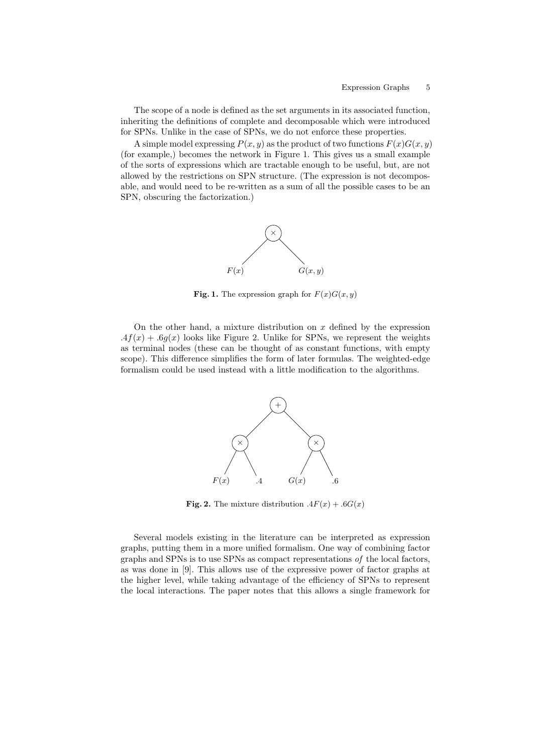The scope of a node is defined as the set arguments in its associated function, inheriting the definitions of complete and decomposable which were introduced for SPNs. Unlike in the case of SPNs, we do not enforce these properties.

A simple model expressing  $P(x, y)$  as the product of two functions  $F(x)G(x, y)$ (for example,) becomes the network in Figure 1. This gives us a small example of the sorts of expressions which are tractable enough to be useful, but, are not allowed by the restrictions on SPN structure. (The expression is not decomposable, and would need to be re-written as a sum of all the possible cases to be an SPN, obscuring the factorization.)



**Fig. 1.** The expression graph for  $F(x)G(x, y)$ 

On the other hand, a mixture distribution on  $x$  defined by the expression  $.4f(x) + .6g(x)$  looks like Figure 2. Unlike for SPNs, we represent the weights as terminal nodes (these can be thought of as constant functions, with empty scope). This difference simplifies the form of later formulas. The weighted-edge formalism could be used instead with a little modification to the algorithms.



Fig. 2. The mixture distribution  $AF(x) + .6G(x)$ 

Several models existing in the literature can be interpreted as expression graphs, putting them in a more unified formalism. One way of combining factor graphs and SPNs is to use SPNs as compact representations of the local factors, as was done in [9]. This allows use of the expressive power of factor graphs at the higher level, while taking advantage of the efficiency of SPNs to represent the local interactions. The paper notes that this allows a single framework for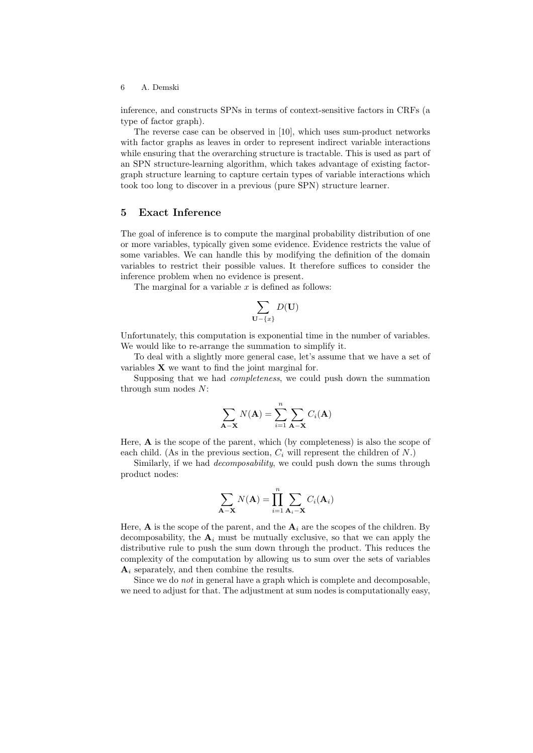inference, and constructs SPNs in terms of context-sensitive factors in CRFs (a type of factor graph).

The reverse case can be observed in [10], which uses sum-product networks with factor graphs as leaves in order to represent indirect variable interactions while ensuring that the overarching structure is tractable. This is used as part of an SPN structure-learning algorithm, which takes advantage of existing factorgraph structure learning to capture certain types of variable interactions which took too long to discover in a previous (pure SPN) structure learner.

## 5 Exact Inference

The goal of inference is to compute the marginal probability distribution of one or more variables, typically given some evidence. Evidence restricts the value of some variables. We can handle this by modifying the definition of the domain variables to restrict their possible values. It therefore suffices to consider the inference problem when no evidence is present.

The marginal for a variable  $x$  is defined as follows:

$$
\sum_{\mathbf{U}-\{x\}}D(\mathbf{U})
$$

Unfortunately, this computation is exponential time in the number of variables. We would like to re-arrange the summation to simplify it.

To deal with a slightly more general case, let's assume that we have a set of variables  $X$  we want to find the joint marginal for.

Supposing that we had completeness, we could push down the summation through sum nodes N:

$$
\sum_{\mathbf{A}-\mathbf{X}} N(\mathbf{A}) = \sum_{i=1}^{n} \sum_{\mathbf{A}-\mathbf{X}} C_i(\mathbf{A})
$$

Here,  $\bf{A}$  is the scope of the parent, which (by completeness) is also the scope of each child. (As in the previous section,  $C_i$  will represent the children of  $N$ .)

Similarly, if we had *decomposability*, we could push down the sums through product nodes:

$$
\sum_{\mathbf{A}-\mathbf{X}} N(\mathbf{A}) = \prod_{i=1}^{n} \sum_{\mathbf{A}_i - \mathbf{X}} C_i(\mathbf{A}_i)
$$

Here, **A** is the scope of the parent, and the  $A_i$  are the scopes of the children. By decomposability, the  $A_i$  must be mutually exclusive, so that we can apply the distributive rule to push the sum down through the product. This reduces the complexity of the computation by allowing us to sum over the sets of variables  $A_i$  separately, and then combine the results.

Since we do not in general have a graph which is complete and decomposable, we need to adjust for that. The adjustment at sum nodes is computationally easy,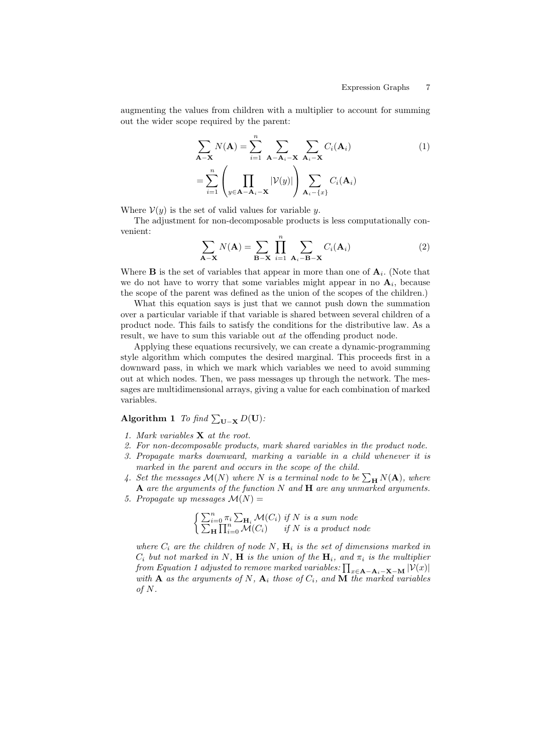augmenting the values from children with a multiplier to account for summing out the wider scope required by the parent:

$$
\sum_{\mathbf{A}-\mathbf{X}} N(\mathbf{A}) = \sum_{i=1}^{n} \sum_{\mathbf{A}-\mathbf{A}_{i}-\mathbf{X}} \sum_{\mathbf{A}_{i}-\mathbf{X}} C_{i}(\mathbf{A}_{i})
$$
\n
$$
= \sum_{i=1}^{n} \left( \prod_{y \in \mathbf{A}-\mathbf{A}_{i}-\mathbf{X}} |\mathcal{V}(y)| \right) \sum_{\mathbf{A}_{i}-\{x\}} C_{i}(\mathbf{A}_{i})
$$
\n(1)

Where  $V(y)$  is the set of valid values for variable y.

The adjustment for non-decomposable products is less computationally convenient:

$$
\sum_{\mathbf{A}-\mathbf{X}} N(\mathbf{A}) = \sum_{\mathbf{B}-\mathbf{X}} \prod_{i=1}^{n} \sum_{\mathbf{A}_i - \mathbf{B}-\mathbf{X}} C_i(\mathbf{A}_i)
$$
(2)

Where **B** is the set of variables that appear in more than one of  $A_i$ . (Note that we do not have to worry that some variables might appear in no  $A_i$ , because the scope of the parent was defined as the union of the scopes of the children.)

What this equation says is just that we cannot push down the summation over a particular variable if that variable is shared between several children of a product node. This fails to satisfy the conditions for the distributive law. As a result, we have to sum this variable out *at* the offending product node.

Applying these equations recursively, we can create a dynamic-programming style algorithm which computes the desired marginal. This proceeds first in a downward pass, in which we mark which variables we need to avoid summing out at which nodes. Then, we pass messages up through the network. The messages are multidimensional arrays, giving a value for each combination of marked variables.

# Algorithm 1 To find  $\sum_{\mathbf{U} - \mathbf{X}} D(\mathbf{U})$ :

- 1. Mark variables X at the root.
- 2. For non-decomposable products, mark shared variables in the product node.
- 3. Propagate marks downward, marking a variable in a child whenever it is marked in the parent and occurs in the scope of the child.
- 4. Set the messages  $\mathcal{M}(N)$  where N is a terminal node to be  $\sum_{\mathbf{H}} N(\mathbf{A})$ , where  $A$  are the arguments of the function N and H are any unmarked arguments.
- 5. Propagate up messages  $\mathcal{M}(N) =$

$$
\begin{cases} \sum_{i=0}^{n} \pi_i \sum_{\mathbf{H}_i} \mathcal{M}(C_i) \text{ if } N \text{ is a sum node} \\ \sum_{\mathbf{H}} \prod_{i=0}^{n} \mathcal{M}(C_i) \text{ if } N \text{ is a product node} \end{cases}
$$

where  $C_i$  are the children of node N,  $H_i$  is the set of dimensions marked in  $C_i$  but not marked in N, **H** is the union of the  $H_i$ , and  $\pi_i$  is the multiplier from Equation 1 adjusted to remove marked variables:  $\prod_{x\in{\bf A}-{\bf A}_i-{\bf X}-{\bf M}}|{\cal V}(x)|$ with A as the arguments of N,  $A_i$  those of  $C_i$ , and M the marked variables of  $N$ .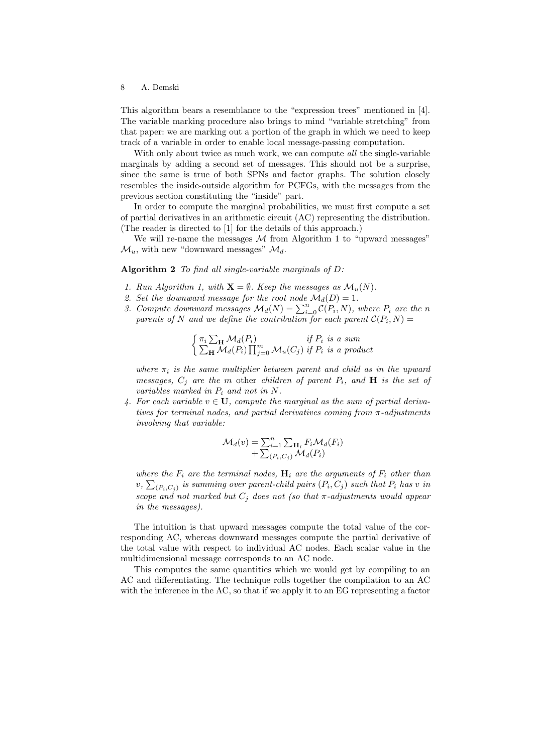This algorithm bears a resemblance to the "expression trees" mentioned in [4]. The variable marking procedure also brings to mind "variable stretching" from that paper: we are marking out a portion of the graph in which we need to keep track of a variable in order to enable local message-passing computation.

With only about twice as much work, we can compute all the single-variable marginals by adding a second set of messages. This should not be a surprise, since the same is true of both SPNs and factor graphs. The solution closely resembles the inside-outside algorithm for PCFGs, with the messages from the previous section constituting the "inside" part.

In order to compute the marginal probabilities, we must first compute a set of partial derivatives in an arithmetic circuit (AC) representing the distribution. (The reader is directed to [1] for the details of this approach.)

We will re-name the messages  $M$  from Algorithm 1 to "upward messages"  $\mathcal{M}_u$ , with new "downward messages"  $\mathcal{M}_d$ .

Algorithm 2 To find all single-variable marginals of D:

- 1. Run Algorithm 1, with  $X = \emptyset$ . Keep the messages as  $\mathcal{M}_u(N)$ .
- 2. Set the downward message for the root node  $\mathcal{M}_d(D) = 1$ .
- 3. Compute downward messages  $\mathcal{M}_d(N) = \sum_{i=0}^n \mathcal{C}(P_i, N)$ , where  $P_i$  are the n parents of N and we define the contribution for each parent  $\mathcal{C}(P_i, N) =$

$$
\begin{cases} \pi_i \sum_{\mathbf{H}} \mathcal{M}_d(P_i) & \text{if } P_i \text{ is a sum} \\ \sum_{\mathbf{H}} \mathcal{M}_d(P_i) \prod_{j=0}^m \mathcal{M}_u(C_j) & \text{if } P_i \text{ is a product} \end{cases}
$$

where  $\pi_i$  is the same multiplier between parent and child as in the upward messages,  $C_i$  are the m other children of parent  $P_i$ , and **H** is the set of variables marked in  $P_i$  and not in N.

4. For each variable  $v \in U$ , compute the marginal as the sum of partial derivatives for terminal nodes, and partial derivatives coming from  $\pi$ -adjustments involving that variable:

$$
\mathcal{M}_d(v) = \sum_{i=1}^n \sum_{\mathbf{H}_i} F_i \mathcal{M}_d(F_i) + \sum_{(P_i, C_j)} \mathcal{M}_d(P_i)
$$

where the  $F_i$  are the terminal nodes,  $H_i$  are the arguments of  $F_i$  other than  $v, \sum_{(P_i,C_j)}$  is summing over parent-child pairs  $(P_i,C_j)$  such that  $P_i$  has  $v$  in scope and not marked but  $C_j$  does not (so that  $\pi$ -adjustments would appear in the messages).

The intuition is that upward messages compute the total value of the corresponding AC, whereas downward messages compute the partial derivative of the total value with respect to individual AC nodes. Each scalar value in the multidimensional message corresponds to an AC node.

This computes the same quantities which we would get by compiling to an AC and differentiating. The technique rolls together the compilation to an AC with the inference in the AC, so that if we apply it to an EG representing a factor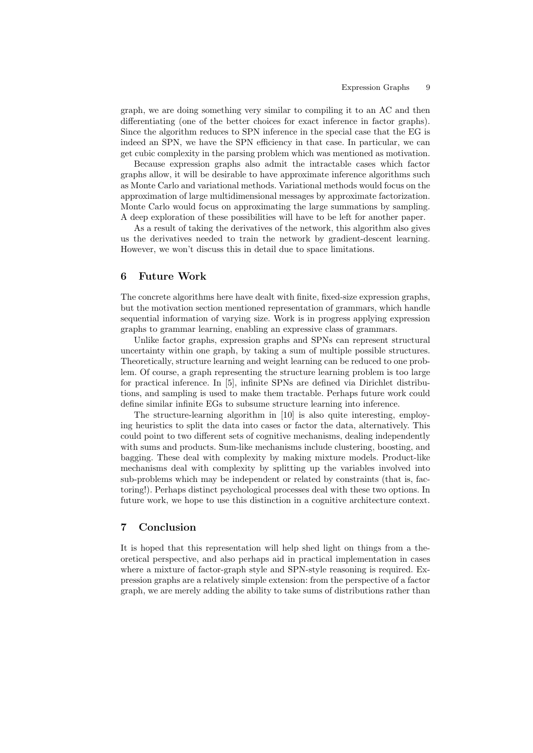graph, we are doing something very similar to compiling it to an AC and then differentiating (one of the better choices for exact inference in factor graphs). Since the algorithm reduces to SPN inference in the special case that the EG is indeed an SPN, we have the SPN efficiency in that case. In particular, we can get cubic complexity in the parsing problem which was mentioned as motivation.

Because expression graphs also admit the intractable cases which factor graphs allow, it will be desirable to have approximate inference algorithms such as Monte Carlo and variational methods. Variational methods would focus on the approximation of large multidimensional messages by approximate factorization. Monte Carlo would focus on approximating the large summations by sampling. A deep exploration of these possibilities will have to be left for another paper.

As a result of taking the derivatives of the network, this algorithm also gives us the derivatives needed to train the network by gradient-descent learning. However, we won't discuss this in detail due to space limitations.

### 6 Future Work

The concrete algorithms here have dealt with finite, fixed-size expression graphs, but the motivation section mentioned representation of grammars, which handle sequential information of varying size. Work is in progress applying expression graphs to grammar learning, enabling an expressive class of grammars.

Unlike factor graphs, expression graphs and SPNs can represent structural uncertainty within one graph, by taking a sum of multiple possible structures. Theoretically, structure learning and weight learning can be reduced to one problem. Of course, a graph representing the structure learning problem is too large for practical inference. In [5], infinite SPNs are defined via Dirichlet distributions, and sampling is used to make them tractable. Perhaps future work could define similar infinite EGs to subsume structure learning into inference.

The structure-learning algorithm in [10] is also quite interesting, employing heuristics to split the data into cases or factor the data, alternatively. This could point to two different sets of cognitive mechanisms, dealing independently with sums and products. Sum-like mechanisms include clustering, boosting, and bagging. These deal with complexity by making mixture models. Product-like mechanisms deal with complexity by splitting up the variables involved into sub-problems which may be independent or related by constraints (that is, factoring!). Perhaps distinct psychological processes deal with these two options. In future work, we hope to use this distinction in a cognitive architecture context.

## 7 Conclusion

It is hoped that this representation will help shed light on things from a theoretical perspective, and also perhaps aid in practical implementation in cases where a mixture of factor-graph style and SPN-style reasoning is required. Expression graphs are a relatively simple extension: from the perspective of a factor graph, we are merely adding the ability to take sums of distributions rather than